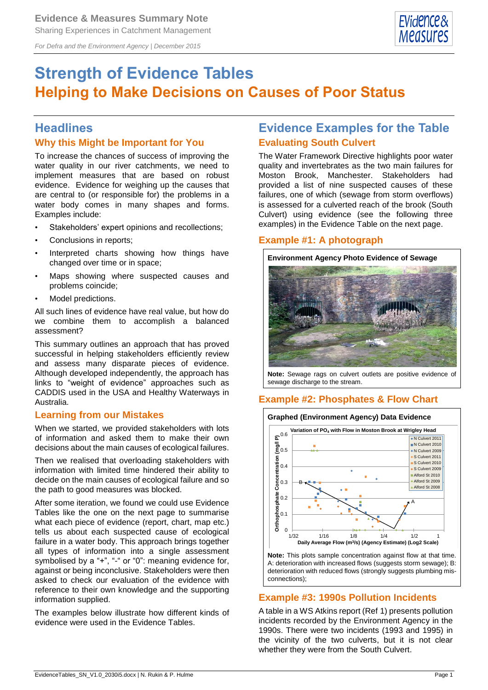

*For Defra and the Environment Agency | December 2015*

# **Strength of Evidence Tables Helping to Make Decisions on Causes of Poor Status**

### **Headlines**

#### **Why this Might be Important for You**

To increase the chances of success of improving the water quality in our river catchments, we need to implement measures that are based on robust evidence. Evidence for weighing up the causes that are central to (or responsible for) the problems in a water body comes in many shapes and forms. Examples include:

- Stakeholders' expert opinions and recollections;
- Conclusions in reports;
- Interpreted charts showing how things have changed over time or in space;
- Maps showing where suspected causes and problems coincide;
- Model predictions.

All such lines of evidence have real value, but how do we combine them to accomplish a balanced assessment?

This summary outlines an approach that has proved successful in helping stakeholders efficiently review and assess many disparate pieces of evidence. Although developed independently, the approach has links to "weight of evidence" approaches such as CADDIS used in the USA and Healthy Waterways in Australia.

#### **Learning from our Mistakes**

When we started, we provided stakeholders with lots of information and asked them to make their own decisions about the main causes of ecological failures.

Then we realised that overloading stakeholders with information with limited time hindered their ability to decide on the main causes of ecological failure and so the path to good measures was blocked.

After some iteration, we found we could use Evidence Tables like the one on the next page to summarise what each piece of evidence (report, chart, map etc.) tells us about each suspected cause of ecological failure in a water body. This approach brings together all types of information into a single assessment symbolised by a "+", "-" or "0": meaning evidence for, against or being inconclusive. Stakeholders were then asked to check our evaluation of the evidence with reference to their own knowledge and the supporting information supplied.

The examples below illustrate how different kinds of evidence were used in the Evidence Tables.

## **Evidence Examples for the Table Evaluating South Culvert**

The Water Framework Directive highlights poor water quality and invertebrates as the two main failures for Moston Brook, Manchester. Stakeholders had provided a list of nine suspected causes of these failures, one of which (sewage from storm overflows) is assessed for a culverted reach of the brook (South Culvert) using evidence (see the following three examples) in the Evidence Table on the next page.

#### **Example #1: A photograph**



**Note:** Sewage rags on culvert outlets are positive evidence of sewage discharge to the stream.

### **Example #2: Phosphates & Flow Chart**



deterioration with reduced flows (strongly suggests plumbing misconnections);

### **Example #3: 1990s Pollution Incidents**

A table in a WS Atkins report (Ref 1) presents pollution incidents recorded by the Environment Agency in the 1990s. There were two incidents (1993 and 1995) in the vicinity of the two culverts, but it is not clear whether they were from the South Culvert.